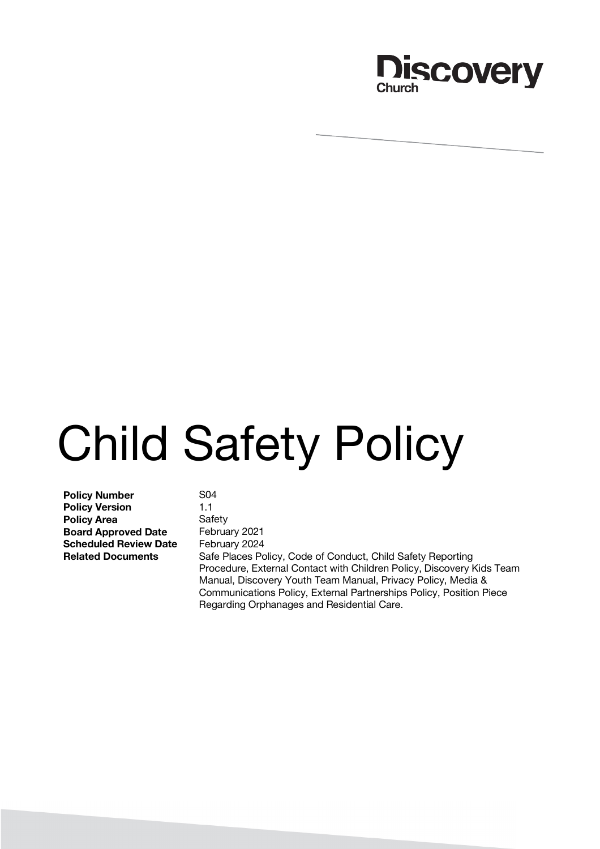

# Child Safety Policy

**Policy Number** S04 **Policy Version** 1.1 **Policy Area** Safety **Board Approved Date** February 2021 **Scheduled Review Date** February 2024

**Related Documents** Safe Places Policy, Code of Conduct, Child Safety Reporting Procedure, External Contact with Children Policy, Discovery Kids Team Manual, Discovery Youth Team Manual, Privacy Policy, Media & Communications Policy, External Partnerships Policy, Position Piece Regarding Orphanages and Residential Care.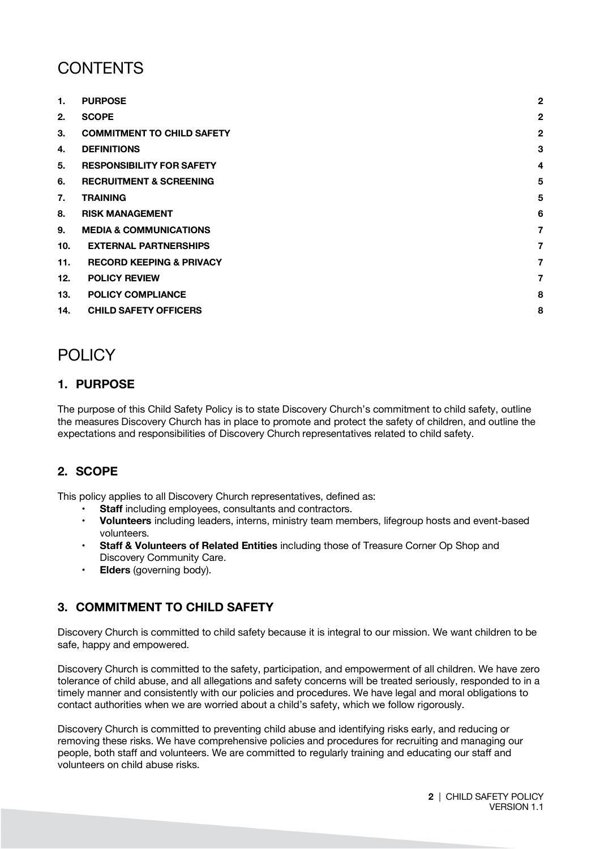# **CONTENTS**

| 1.  | <b>PURPOSE</b>                      | $\overline{2}$ |
|-----|-------------------------------------|----------------|
| 2.  | <b>SCOPE</b>                        | $\mathbf{2}$   |
| 3.  | <b>COMMITMENT TO CHILD SAFETY</b>   | $\overline{2}$ |
| 4.  | <b>DEFINITIONS</b>                  | 3              |
| 5.  | <b>RESPONSIBILITY FOR SAFETY</b>    | $\overline{4}$ |
| 6.  | <b>RECRUITMENT &amp; SCREENING</b>  | 5              |
| 7.  | <b>TRAINING</b>                     | 5              |
| 8.  | <b>RISK MANAGEMENT</b>              | 6              |
| 9.  | <b>MEDIA &amp; COMMUNICATIONS</b>   | $\overline{7}$ |
| 10. | <b>EXTERNAL PARTNERSHIPS</b>        | $\overline{7}$ |
| 11. | <b>RECORD KEEPING &amp; PRIVACY</b> | 7              |
| 12. | <b>POLICY REVIEW</b>                | $\overline{7}$ |
| 13. | <b>POLICY COMPLIANCE</b>            | 8              |
| 14. | <b>CHILD SAFETY OFFICERS</b>        | 8              |

# POLICY

# **1. PURPOSE**

The purpose of this Child Safety Policy is to state Discovery Church's commitment to child safety, outline the measures Discovery Church has in place to promote and protect the safety of children, and outline the expectations and responsibilities of Discovery Church representatives related to child safety.

# **2. SCOPE**

This policy applies to all Discovery Church representatives, defined as:

- **Staff** including employees, consultants and contractors.
- **Volunteers** including leaders, interns, ministry team members, lifegroup hosts and event-based volunteers.
- **Staff & Volunteers of Related Entities** including those of Treasure Corner Op Shop and Discovery Community Care.
- **Elders** (governing body).

# **3. COMMITMENT TO CHILD SAFETY**

Discovery Church is committed to child safety because it is integral to our mission. We want children to be safe, happy and empowered.

Discovery Church is committed to the safety, participation, and empowerment of all children. We have zero tolerance of child abuse, and all allegations and safety concerns will be treated seriously, responded to in a timely manner and consistently with our policies and procedures. We have legal and moral obligations to contact authorities when we are worried about a child's safety, which we follow rigorously.

Discovery Church is committed to preventing child abuse and identifying risks early, and reducing or removing these risks. We have comprehensive policies and procedures for recruiting and managing our people, both staff and volunteers. We are committed to regularly training and educating our staff and volunteers on child abuse risks.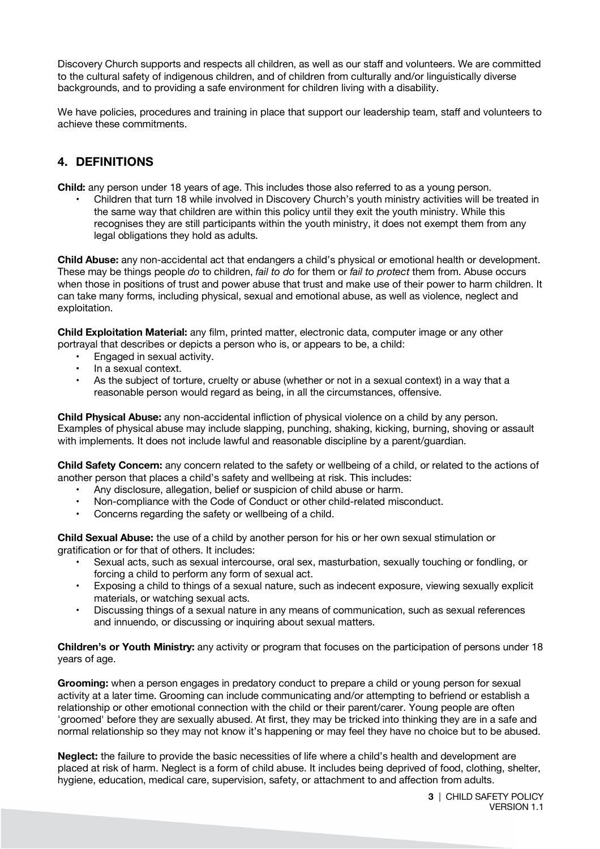Discovery Church supports and respects all children, as well as our staff and volunteers. We are committed to the cultural safety of indigenous children, and of children from culturally and/or linguistically diverse backgrounds, and to providing a safe environment for children living with a disability.

We have policies, procedures and training in place that support our leadership team, staff and volunteers to achieve these commitments.

#### **4. DEFINITIONS**

**Child:** any person under 18 years of age. This includes those also referred to as a young person.

• Children that turn 18 while involved in Discovery Church's youth ministry activities will be treated in the same way that children are within this policy until they exit the youth ministry. While this recognises they are still participants within the youth ministry, it does not exempt them from any legal obligations they hold as adults.

**Child Abuse:** any non-accidental act that endangers a child's physical or emotional health or development. These may be things people *do* to children, *fail to do* for them or *fail to protect* them from. Abuse occurs when those in positions of trust and power abuse that trust and make use of their power to harm children. It can take many forms, including physical, sexual and emotional abuse, as well as violence, neglect and exploitation.

**Child Exploitation Material:** any film, printed matter, electronic data, computer image or any other portrayal that describes or depicts a person who is, or appears to be, a child:

- Engaged in sexual activity.
- In a sexual context.
- As the subject of torture, cruelty or abuse (whether or not in a sexual context) in a way that a reasonable person would regard as being, in all the circumstances, offensive.

**Child Physical Abuse:** any non-accidental infliction of physical violence on a child by any person. Examples of physical abuse may include slapping, punching, shaking, kicking, burning, shoving or assault with implements. It does not include lawful and reasonable discipline by a parent/guardian.

**Child Safety Concern:** any concern related to the safety or wellbeing of a child, or related to the actions of another person that places a child's safety and wellbeing at risk. This includes:

- Any disclosure, allegation, belief or suspicion of child abuse or harm.
- Non-compliance with the Code of Conduct or other child-related misconduct.
- Concerns regarding the safety or wellbeing of a child.

**Child Sexual Abuse:** the use of a child by another person for his or her own sexual stimulation or gratification or for that of others. It includes:

- Sexual acts, such as sexual intercourse, oral sex, masturbation, sexually touching or fondling, or forcing a child to perform any form of sexual act.
- Exposing a child to things of a sexual nature, such as indecent exposure, viewing sexually explicit materials, or watching sexual acts.
- Discussing things of a sexual nature in any means of communication, such as sexual references and innuendo, or discussing or inquiring about sexual matters.

**Children's or Youth Ministry:** any activity or program that focuses on the participation of persons under 18 years of age.

**Grooming:** when a person engages in predatory conduct to prepare a child or young person for sexual activity at a later time. Grooming can include communicating and/or attempting to befriend or establish a relationship or other emotional connection with the child or their parent/carer. Young people are often 'groomed' before they are sexually abused. At first, they may be tricked into thinking they are in a safe and normal relationship so they may not know it's happening or may feel they have no choice but to be abused.

**Neglect:** the failure to provide the basic necessities of life where a child's health and development are placed at risk of harm. Neglect is a form of child abuse. It includes being deprived of food, clothing, shelter, hygiene, education, medical care, supervision, safety, or attachment to and affection from adults.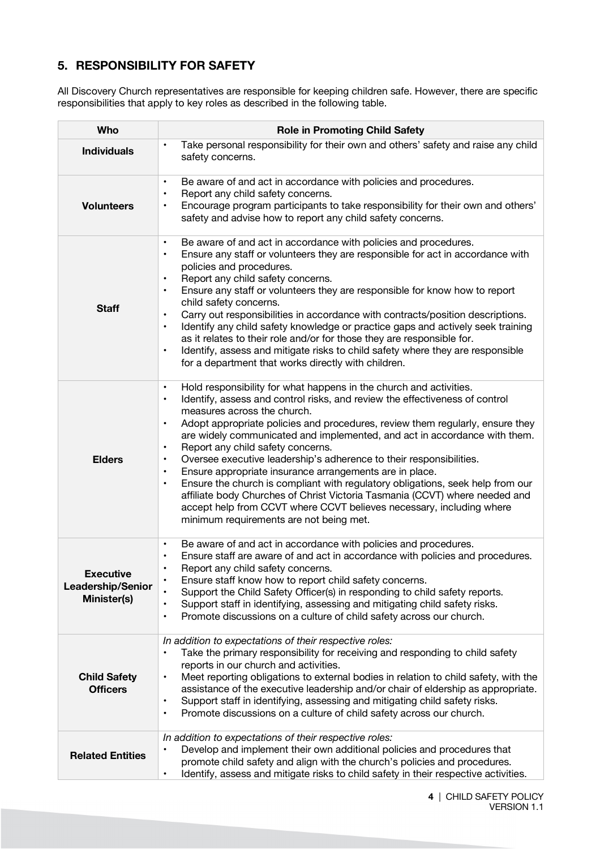# **5. RESPONSIBILITY FOR SAFETY**

All Discovery Church representatives are responsible for keeping children safe. However, there are specific responsibilities that apply to key roles as described in the following table.

| <b>Who</b>                                           | <b>Role in Promoting Child Safety</b>                                                                                                                                                                                                                                                                                                                                                                                                                                                                                                                                                                                                                                                                                                                                                                                                                                                                |  |  |  |
|------------------------------------------------------|------------------------------------------------------------------------------------------------------------------------------------------------------------------------------------------------------------------------------------------------------------------------------------------------------------------------------------------------------------------------------------------------------------------------------------------------------------------------------------------------------------------------------------------------------------------------------------------------------------------------------------------------------------------------------------------------------------------------------------------------------------------------------------------------------------------------------------------------------------------------------------------------------|--|--|--|
| <b>Individuals</b>                                   | Take personal responsibility for their own and others' safety and raise any child<br>$\bullet$<br>safety concerns.                                                                                                                                                                                                                                                                                                                                                                                                                                                                                                                                                                                                                                                                                                                                                                                   |  |  |  |
| <b>Volunteers</b>                                    | Be aware of and act in accordance with policies and procedures.<br>$\bullet$<br>Report any child safety concerns.<br>$\bullet$<br>Encourage program participants to take responsibility for their own and others'<br>$\bullet$<br>safety and advise how to report any child safety concerns.                                                                                                                                                                                                                                                                                                                                                                                                                                                                                                                                                                                                         |  |  |  |
| <b>Staff</b>                                         | Be aware of and act in accordance with policies and procedures.<br>$\bullet$<br>Ensure any staff or volunteers they are responsible for act in accordance with<br>$\bullet$<br>policies and procedures.<br>Report any child safety concerns.<br>$\bullet$<br>Ensure any staff or volunteers they are responsible for know how to report<br>$\bullet$<br>child safety concerns.<br>Carry out responsibilities in accordance with contracts/position descriptions.<br>$\bullet$<br>Identify any child safety knowledge or practice gaps and actively seek training<br>$\bullet$<br>as it relates to their role and/or for those they are responsible for.<br>Identify, assess and mitigate risks to child safety where they are responsible<br>$\bullet$<br>for a department that works directly with children.                                                                                        |  |  |  |
| <b>Elders</b>                                        | Hold responsibility for what happens in the church and activities.<br>$\bullet$<br>Identify, assess and control risks, and review the effectiveness of control<br>$\bullet$<br>measures across the church.<br>Adopt appropriate policies and procedures, review them regularly, ensure they<br>$\bullet$<br>are widely communicated and implemented, and act in accordance with them.<br>Report any child safety concerns.<br>$\bullet$<br>Oversee executive leadership's adherence to their responsibilities.<br>$\bullet$<br>Ensure appropriate insurance arrangements are in place.<br>$\bullet$<br>Ensure the church is compliant with regulatory obligations, seek help from our<br>$\bullet$<br>affiliate body Churches of Christ Victoria Tasmania (CCVT) where needed and<br>accept help from CCVT where CCVT believes necessary, including where<br>minimum requirements are not being met. |  |  |  |
| <b>Executive</b><br>Leadership/Senior<br>Minister(s) | Be aware of and act in accordance with policies and procedures.<br>$\bullet$<br>Ensure staff are aware of and act in accordance with policies and procedures.<br>$\bullet$<br>Report any child safety concerns.<br>Ensure staff know how to report child safety concerns.<br>$\bullet$<br>Support the Child Safety Officer(s) in responding to child safety reports.<br>Support staff in identifying, assessing and mitigating child safety risks.<br>$\bullet$<br>Promote discussions on a culture of child safety across our church.<br>$\bullet$                                                                                                                                                                                                                                                                                                                                                  |  |  |  |
| <b>Child Safety</b><br><b>Officers</b>               | In addition to expectations of their respective roles:<br>Take the primary responsibility for receiving and responding to child safety<br>$\bullet$<br>reports in our church and activities.<br>Meet reporting obligations to external bodies in relation to child safety, with the<br>$\bullet$<br>assistance of the executive leadership and/or chair of eldership as appropriate.<br>Support staff in identifying, assessing and mitigating child safety risks.<br>$\bullet$<br>Promote discussions on a culture of child safety across our church.<br>$\bullet$                                                                                                                                                                                                                                                                                                                                  |  |  |  |
| <b>Related Entities</b>                              | In addition to expectations of their respective roles:<br>Develop and implement their own additional policies and procedures that<br>$\bullet$<br>promote child safety and align with the church's policies and procedures.<br>Identify, assess and mitigate risks to child safety in their respective activities.<br>$\bullet$                                                                                                                                                                                                                                                                                                                                                                                                                                                                                                                                                                      |  |  |  |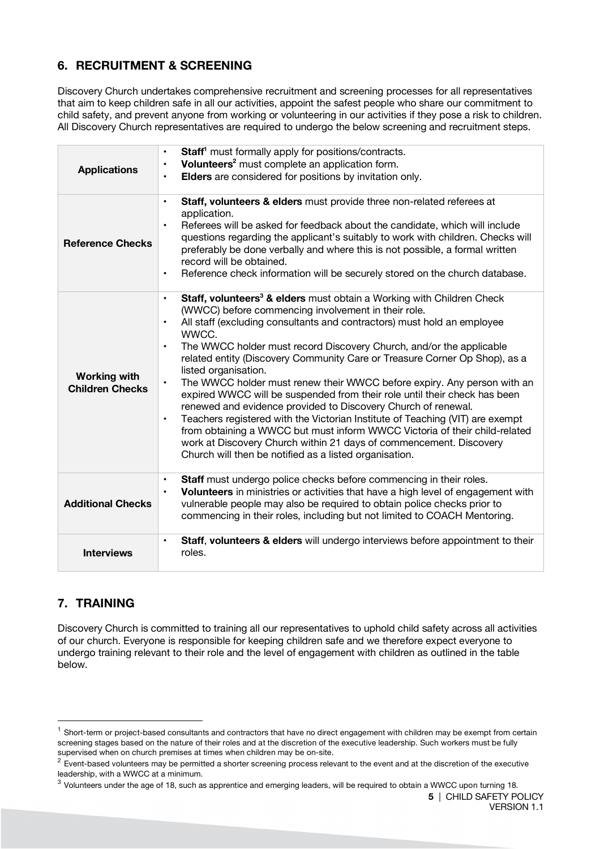# **6. RECRUITMENT & SCREENING**

Discovery Church undertakes comprehensive recruitment and screening processes for all representatives that aim to keep children safe in all our activities, appoint the safest people who share our commitment to child safety, and prevent anyone from working or volunteering in our activities if they pose a risk to children. All Discovery Church representatives are required to undergo the below screening and recruitment steps.

| <b>Applications</b>                           | Staff <sup>1</sup> must formally apply for positions/contracts.<br>$\bullet$<br>Volunteers <sup>2</sup> must complete an application form.<br>$\bullet$<br>Elders are considered for positions by invitation only.<br>$\bullet$                                                                                                                                                                                                                                                                                                                                                                                                                                                                                                                                                                                                                                                                                                                                                                    |
|-----------------------------------------------|----------------------------------------------------------------------------------------------------------------------------------------------------------------------------------------------------------------------------------------------------------------------------------------------------------------------------------------------------------------------------------------------------------------------------------------------------------------------------------------------------------------------------------------------------------------------------------------------------------------------------------------------------------------------------------------------------------------------------------------------------------------------------------------------------------------------------------------------------------------------------------------------------------------------------------------------------------------------------------------------------|
| <b>Reference Checks</b>                       | Staff, volunteers & elders must provide three non-related referees at<br>$\bullet$<br>application.<br>Referees will be asked for feedback about the candidate, which will include<br>$\bullet$<br>questions regarding the applicant's suitably to work with children. Checks will<br>preferably be done verbally and where this is not possible, a formal written<br>record will be obtained.<br>Reference check information will be securely stored on the church database.<br>$\bullet$                                                                                                                                                                                                                                                                                                                                                                                                                                                                                                          |
| <b>Working with</b><br><b>Children Checks</b> | Staff, volunteers <sup>3</sup> & elders must obtain a Working with Children Check<br>$\bullet$<br>(WWCC) before commencing involvement in their role.<br>All staff (excluding consultants and contractors) must hold an employee<br>$\bullet$<br>WWCC.<br>The WWCC holder must record Discovery Church, and/or the applicable<br>$\bullet$<br>related entity (Discovery Community Care or Treasure Corner Op Shop), as a<br>listed organisation.<br>The WWCC holder must renew their WWCC before expiry. Any person with an<br>$\bullet$<br>expired WWCC will be suspended from their role until their check has been<br>renewed and evidence provided to Discovery Church of renewal.<br>Teachers registered with the Victorian Institute of Teaching (VIT) are exempt<br>$\bullet$<br>from obtaining a WWCC but must inform WWCC Victoria of their child-related<br>work at Discovery Church within 21 days of commencement. Discovery<br>Church will then be notified as a listed organisation. |
| <b>Additional Checks</b>                      | Staff must undergo police checks before commencing in their roles.<br>$\bullet$<br>Volunteers in ministries or activities that have a high level of engagement with<br>$\bullet$<br>vulnerable people may also be required to obtain police checks prior to<br>commencing in their roles, including but not limited to COACH Mentoring.                                                                                                                                                                                                                                                                                                                                                                                                                                                                                                                                                                                                                                                            |
| <b>Interviews</b>                             | Staff, volunteers & elders will undergo interviews before appointment to their<br>$\bullet$<br>roles.                                                                                                                                                                                                                                                                                                                                                                                                                                                                                                                                                                                                                                                                                                                                                                                                                                                                                              |

# **7. TRAINING**

Discovery Church is committed to training all our representatives to uphold child safety across all activities of our church. Everyone is responsible for keeping children safe and we therefore expect everyone to undergo training relevant to their role and the level of engagement with children as outlined in the table below.

 $1$  Short-term or project-based consultants and contractors that have no direct engagement with children may be exempt from certain screening stages based on the nature of their roles and at the discretion of the executive leadership. Such workers must be fully

supervised when on church premises at times when children may be on-site.<br><sup>2</sup> Event-based volunteers may be permitted a shorter screening process relevant to the event and at the discretion of the executive leadership, with a WWCC at a minimum.

 $3$  Volunteers under the age of 18, such as apprentice and emerging leaders, will be required to obtain a WWCC upon turning 18.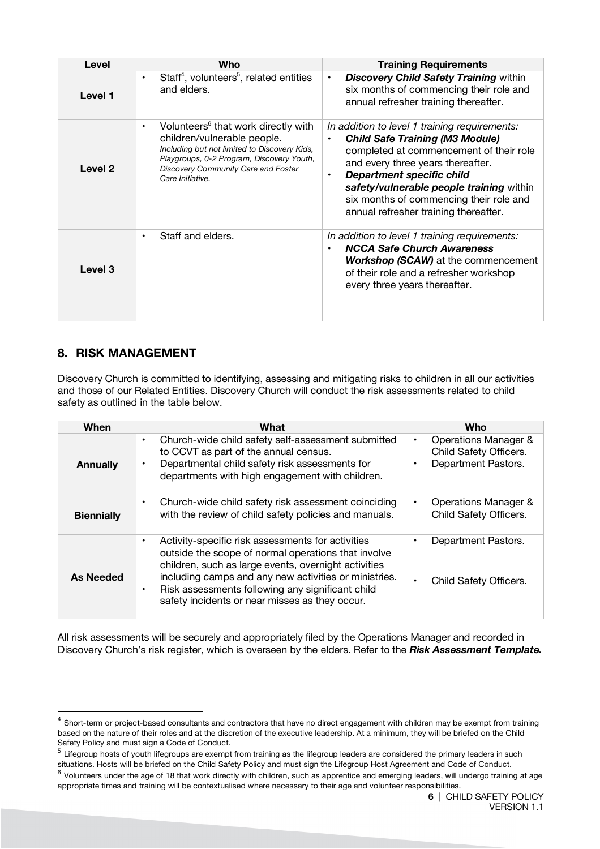| Level   | Who                                                                                                                                                                                                                                                 | <b>Training Requirements</b>                                                                                                                                                                                                                                                                                                         |
|---------|-----------------------------------------------------------------------------------------------------------------------------------------------------------------------------------------------------------------------------------------------------|--------------------------------------------------------------------------------------------------------------------------------------------------------------------------------------------------------------------------------------------------------------------------------------------------------------------------------------|
| Level 1 | Staff <sup>4</sup> , volunteers <sup>5</sup> , related entities<br>$\bullet$<br>and elders.                                                                                                                                                         | <b>Discovery Child Safety Training within</b><br>$\bullet$<br>six months of commencing their role and<br>annual refresher training thereafter.                                                                                                                                                                                       |
| Level 2 | Volunteers <sup>6</sup> that work directly with<br>$\bullet$<br>children/vulnerable people.<br>Including but not limited to Discovery Kids,<br>Playgroups, 0-2 Program, Discovery Youth,<br>Discovery Community Care and Foster<br>Care Initiative. | In addition to level 1 training requirements:<br><b>Child Safe Training (M3 Module)</b><br>completed at commencement of their role<br>and every three years thereafter.<br>Department specific child<br>safety/vulnerable people training within<br>six months of commencing their role and<br>annual refresher training thereafter. |
| Level 3 | Staff and elders.<br>٠                                                                                                                                                                                                                              | In addition to level 1 training requirements:<br><b>NCCA Safe Church Awareness</b><br><b>Workshop (SCAW)</b> at the commencement<br>of their role and a refresher workshop<br>every three years thereafter.                                                                                                                          |

# **8. RISK MANAGEMENT**

Discovery Church is committed to identifying, assessing and mitigating risks to children in all our activities and those of our Related Entities. Discovery Church will conduct the risk assessments related to child safety as outlined in the table below.

| When              | What                                                                                                                                                                                                                                                                                                                                                      | Who                                                                             |
|-------------------|-----------------------------------------------------------------------------------------------------------------------------------------------------------------------------------------------------------------------------------------------------------------------------------------------------------------------------------------------------------|---------------------------------------------------------------------------------|
| <b>Annually</b>   | Church-wide child safety self-assessment submitted<br>$\bullet$<br>to CCVT as part of the annual census.<br>Departmental child safety risk assessments for<br>$\bullet$<br>departments with high engagement with children.                                                                                                                                | Operations Manager &<br>٠<br>Child Safety Officers.<br>Department Pastors.<br>٠ |
| <b>Biennially</b> | Church-wide child safety risk assessment coinciding<br>$\bullet$<br>with the review of child safety policies and manuals.                                                                                                                                                                                                                                 | Operations Manager &<br>٠<br>Child Safety Officers.                             |
| As Needed         | Activity-specific risk assessments for activities<br>$\bullet$<br>outside the scope of normal operations that involve<br>children, such as large events, overnight activities<br>including camps and any new activities or ministries.<br>Risk assessments following any significant child<br>$\bullet$<br>safety incidents or near misses as they occur. | Department Pastors.<br>٠<br>Child Safety Officers.                              |

All risk assessments will be securely and appropriately filed by the Operations Manager and recorded in Discovery Church's risk register, which is overseen by the elders. Refer to the *Risk Assessment Template.*

 $5$  Lifegroup hosts of youth lifegroups are exempt from training as the lifegroup leaders are considered the primary leaders in such situations. Hosts will be briefed on the Child Safety Policy and must sign the Lifegroup Host Agreement and Code of Conduct.

<sup>&</sup>lt;sup>4</sup> Short-term or project-based consultants and contractors that have no direct engagement with children may be exempt from training based on the nature of their roles and at the discretion of the executive leadership. At a minimum, they will be briefed on the Child<br>Safety Policy and must sign a Code of Conduct.

 $6$  Volunteers under the age of 18 that work directly with children, such as apprentice and emerging leaders, will undergo training at age appropriate times and training will be contextualised where necessary to their age and volunteer responsibilities.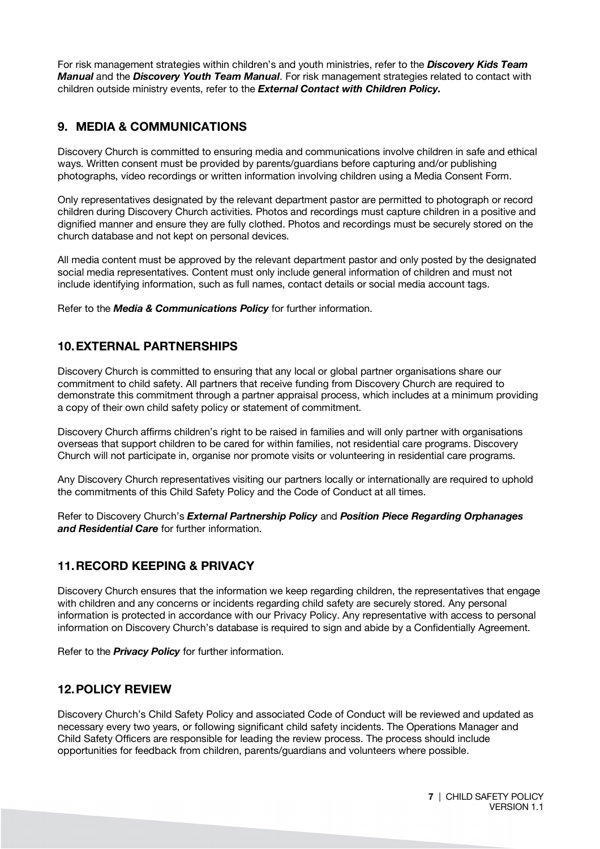For risk management strategies within children's and youth ministries, refer to the *Discovery Kids Team Manual* and the *Discovery Youth Team Manual*. For risk management strategies related to contact with children outside ministry events, refer to the *External Contact with Children Policy.* 

# **9. MEDIA & COMMUNICATIONS**

Discovery Church is committed to ensuring media and communications involve children in safe and ethical ways. Written consent must be provided by parents/guardians before capturing and/or publishing photographs, video recordings or written information involving children using a Media Consent Form.

Only representatives designated by the relevant department pastor are permitted to photograph or record children during Discovery Church activities. Photos and recordings must capture children in a positive and dignified manner and ensure they are fully clothed. Photos and recordings must be securely stored on the church database and not kept on personal devices.

All media content must be approved by the relevant department pastor and only posted by the designated social media representatives. Content must only include general information of children and must not include identifying information, such as full names, contact details or social media account tags.

Refer to the *Media & Communications Policy* for further information.

# **10.EXTERNAL PARTNERSHIPS**

Discovery Church is committed to ensuring that any local or global partner organisations share our commitment to child safety. All partners that receive funding from Discovery Church are required to demonstrate this commitment through a partner appraisal process, which includes at a minimum providing a copy of their own child safety policy or statement of commitment.

Discovery Church affirms children's right to be raised in families and will only partner with organisations overseas that support children to be cared for within families, not residential care programs. Discovery Church will not participate in, organise nor promote visits or volunteering in residential care programs.

Any Discovery Church representatives visiting our partners locally or internationally are required to uphold the commitments of this Child Safety Policy and the Code of Conduct at all times.

Refer to Discovery Church's *External Partnership Policy* and *Position Piece Regarding Orphanages and Residential Care* for further information.

# **11.RECORD KEEPING & PRIVACY**

Discovery Church ensures that the information we keep regarding children, the representatives that engage with children and any concerns or incidents regarding child safety are securely stored. Any personal information is protected in accordance with our Privacy Policy. Any representative with access to personal information on Discovery Church's database is required to sign and abide by a Confidentially Agreement.

Refer to the *Privacy Policy* for further information.

# **12.POLICY REVIEW**

Discovery Church's Child Safety Policy and associated Code of Conduct will be reviewed and updated as necessary every two years, or following significant child safety incidents. The Operations Manager and Child Safety Officers are responsible for leading the review process. The process should include opportunities for feedback from children, parents/guardians and volunteers where possible.